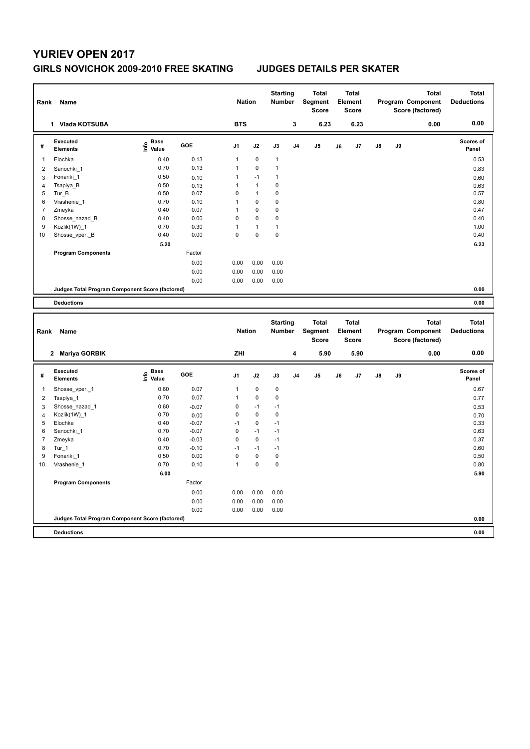## **YURIEV OPEN 2017**

## **GIRLS NOVICHOK 2009-2010 FREE SKATING JUDGES DETAILS PER SKATER**

| Rank                | Name                                            |                                  |                 | <b>Nation</b>    |                   | <b>Starting</b><br><b>Number</b> |                | <b>Total</b><br>Segment<br><b>Score</b> |    | Total<br>Element<br><b>Score</b>        |    |    | <b>Total</b><br>Program Component<br>Score (factored) | <b>Total</b><br><b>Deductions</b> |
|---------------------|-------------------------------------------------|----------------------------------|-----------------|------------------|-------------------|----------------------------------|----------------|-----------------------------------------|----|-----------------------------------------|----|----|-------------------------------------------------------|-----------------------------------|
|                     | 1 Vlada KOTSUBA                                 |                                  |                 | <b>BTS</b>       |                   |                                  | 3              | 6.23                                    |    | 6.23                                    |    |    | 0.00                                                  | 0.00                              |
| #                   | <b>Executed</b><br>Elements                     | <b>Base</b><br>e Base<br>⊆ Value | GOE             | J <sub>1</sub>   | J2                | J3                               | J <sub>4</sub> | J5                                      | J6 | J7                                      | J8 | J9 |                                                       | Scores of<br>Panel                |
| $\mathbf{1}$        | Elochka                                         | 0.40                             | 0.13            | $\mathbf{1}$     | $\mathbf 0$       | $\mathbf{1}$                     |                |                                         |    |                                         |    |    |                                                       | 0.53                              |
| $\overline{2}$      | Sanochki 1                                      | 0.70                             | 0.13            | 1                | $\mathbf 0$       | $\mathbf{1}$                     |                |                                         |    |                                         |    |    |                                                       | 0.83                              |
| 3                   | Fonariki 1                                      | 0.50                             | 0.10            | 1                | $-1$              | 1                                |                |                                         |    |                                         |    |    |                                                       | 0.60                              |
| $\overline{4}$      | Tsaplya_B                                       | 0.50                             | 0.13            | 1                | $\mathbf{1}$      | 0                                |                |                                         |    |                                         |    |    |                                                       | 0.63                              |
| 5                   | Tur B                                           | 0.50                             | 0.07            | $\mathbf 0$      | $\mathbf{1}$      | 0                                |                |                                         |    |                                         |    |    |                                                       | 0.57                              |
| 6                   | Vrashenie 1                                     | 0.70                             | 0.10            | 1                | 0                 | 0                                |                |                                         |    |                                         |    |    |                                                       | 0.80                              |
| $\overline{7}$      | Zmeyka                                          | 0.40                             | 0.07            | $\mathbf{1}$     | 0                 | 0                                |                |                                         |    |                                         |    |    |                                                       | 0.47                              |
| 8                   | Shosse nazad B                                  | 0.40                             | 0.00            | $\mathbf 0$      | $\pmb{0}$         | 0                                |                |                                         |    |                                         |    |    |                                                       | 0.40                              |
| 9                   | Kozlik(1W) 1                                    | 0.70                             | 0.30            | $\mathbf{1}$     | $\mathbf{1}$      | $\mathbf{1}$                     |                |                                         |    |                                         |    |    |                                                       | 1.00                              |
| 10                  | Shosse_vper._B                                  | 0.40                             | 0.00            | $\mathbf 0$      | $\mathbf 0$       | $\pmb{0}$                        |                |                                         |    |                                         |    |    |                                                       | 0.40                              |
|                     |                                                 | 5.20                             |                 |                  |                   |                                  |                |                                         |    |                                         |    |    |                                                       | 6.23                              |
|                     | <b>Program Components</b>                       |                                  | Factor          |                  |                   |                                  |                |                                         |    |                                         |    |    |                                                       |                                   |
|                     |                                                 |                                  | 0.00            | 0.00             | 0.00              | 0.00                             |                |                                         |    |                                         |    |    |                                                       |                                   |
|                     |                                                 |                                  | 0.00            | 0.00             | 0.00              | 0.00                             |                |                                         |    |                                         |    |    |                                                       |                                   |
|                     |                                                 |                                  | 0.00            | 0.00             | 0.00              | 0.00                             |                |                                         |    |                                         |    |    |                                                       |                                   |
|                     | Judges Total Program Component Score (factored) |                                  |                 |                  |                   |                                  |                |                                         |    |                                         |    |    |                                                       | 0.00                              |
|                     | <b>Deductions</b>                               |                                  |                 |                  |                   |                                  |                |                                         |    |                                         |    |    |                                                       | 0.00                              |
|                     |                                                 |                                  |                 |                  |                   |                                  |                |                                         |    |                                         |    |    |                                                       |                                   |
|                     |                                                 |                                  |                 |                  |                   |                                  |                |                                         |    |                                         |    |    |                                                       |                                   |
| Rank                | Name                                            |                                  |                 | <b>Nation</b>    |                   | <b>Starting</b><br><b>Number</b> |                | <b>Total</b><br>Segment<br><b>Score</b> |    | <b>Total</b><br>Element<br><b>Score</b> |    |    | <b>Total</b><br>Program Component<br>Score (factored) | <b>Total</b><br><b>Deductions</b> |
|                     | 2 Mariya GORBIK                                 |                                  |                 | ZHI              |                   |                                  | 4              | 5.90                                    |    | 5.90                                    |    |    | 0.00                                                  | 0.00                              |
| #                   | Executed<br><b>Elements</b>                     | e Base<br>E Value                | GOE             | J <sub>1</sub>   | J2                | J3                               | J <sub>4</sub> | J <sub>5</sub>                          | J6 | J7                                      | J8 | J9 |                                                       | Scores of<br>Panel                |
| $\mathbf{1}$        | Shosse vper. 1                                  | 0.60                             | 0.07            | $\mathbf{1}$     | 0                 | 0                                |                |                                         |    |                                         |    |    |                                                       | 0.67                              |
|                     |                                                 | 0.70                             | 0.07            | $\mathbf{1}$     | $\pmb{0}$         | 0                                |                |                                         |    |                                         |    |    |                                                       |                                   |
| $\overline{2}$      | Tsaplya_1                                       |                                  |                 |                  |                   |                                  |                |                                         |    |                                         |    |    |                                                       | 0.77                              |
| 3                   | Shosse_nazad_1<br>Kozlik(1W) 1                  | 0.60<br>0.70                     | $-0.07$         | 0<br>$\mathbf 0$ | $-1$<br>$\pmb{0}$ | $-1$<br>0                        |                |                                         |    |                                         |    |    |                                                       | 0.53                              |
| $\overline{4}$<br>5 | Elochka                                         | 0.40                             | 0.00<br>$-0.07$ | $-1$             | 0                 | $-1$                             |                |                                         |    |                                         |    |    |                                                       | 0.70<br>0.33                      |
| 6                   | Sanochki 1                                      | 0.70                             | $-0.07$         | $\pmb{0}$        | $-1$              | $-1$                             |                |                                         |    |                                         |    |    |                                                       | 0.63                              |
| $\overline{7}$      |                                                 | 0.40                             | $-0.03$         | $\mathbf 0$      | $\pmb{0}$         | $-1$                             |                |                                         |    |                                         |    |    |                                                       | 0.37                              |
| 8                   | Zmeyka<br>Tur 1                                 | 0.70                             | $-0.10$         | $-1$             | $-1$              | $-1$                             |                |                                         |    |                                         |    |    |                                                       | 0.60                              |
| 9                   | Fonariki 1                                      | 0.50                             | 0.00            | $\mathbf 0$      | $\pmb{0}$         | $\pmb{0}$                        |                |                                         |    |                                         |    |    |                                                       | 0.50                              |
| 10                  | Vrashenie 1                                     | 0.70                             | 0.10            | $\mathbf{1}$     | $\mathbf 0$       | $\pmb{0}$                        |                |                                         |    |                                         |    |    |                                                       | 0.80                              |
|                     |                                                 | 6.00                             |                 |                  |                   |                                  |                |                                         |    |                                         |    |    |                                                       | 5.90                              |
|                     | <b>Program Components</b>                       |                                  | Factor          |                  |                   |                                  |                |                                         |    |                                         |    |    |                                                       |                                   |
|                     |                                                 |                                  |                 |                  |                   |                                  |                |                                         |    |                                         |    |    |                                                       |                                   |
|                     |                                                 |                                  | 0.00            | 0.00             | 0.00              | 0.00                             |                |                                         |    |                                         |    |    |                                                       |                                   |
|                     |                                                 |                                  | 0.00            | 0.00             | 0.00              | 0.00                             |                |                                         |    |                                         |    |    |                                                       |                                   |
|                     | Judges Total Program Component Score (factored) |                                  | 0.00            | 0.00             | 0.00              | 0.00                             |                |                                         |    |                                         |    |    |                                                       | 0.00                              |